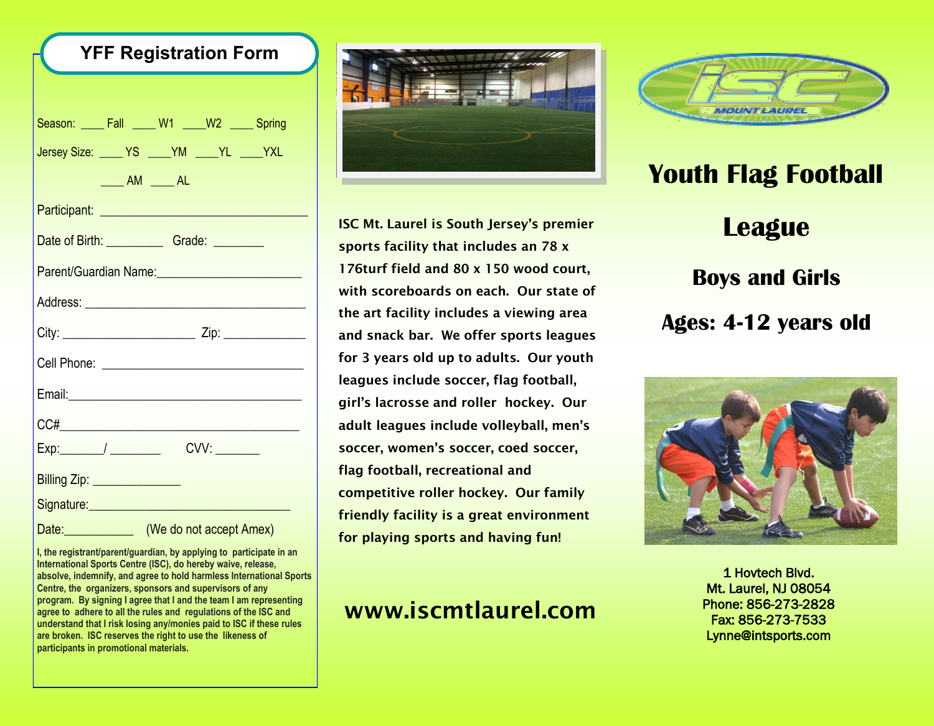| <b>YFF Registration Form</b>                        |                                                             |  |  |  |  |
|-----------------------------------------------------|-------------------------------------------------------------|--|--|--|--|
|                                                     |                                                             |  |  |  |  |
| Season: ____ Fall ____ W1 ____W2 ____ Spring        |                                                             |  |  |  |  |
| Jersey Size: _____ YS _____ YM _____ YL _____ YXL   |                                                             |  |  |  |  |
|                                                     | $\underline{\hspace{1cm}}$ AM $\underline{\hspace{1cm}}$ AL |  |  |  |  |
|                                                     |                                                             |  |  |  |  |
|                                                     |                                                             |  |  |  |  |
| Parent/Guardian Name: 2008 2009 2010 2021 2022 2023 |                                                             |  |  |  |  |
|                                                     |                                                             |  |  |  |  |
|                                                     |                                                             |  |  |  |  |
|                                                     |                                                             |  |  |  |  |
|                                                     |                                                             |  |  |  |  |
|                                                     |                                                             |  |  |  |  |
| Exp:________/ _______________ CVV: _________        |                                                             |  |  |  |  |
| Billing Zip: ________________                       |                                                             |  |  |  |  |
| Signature: Management Control of the Signature:     |                                                             |  |  |  |  |
|                                                     | Date: <b>Date:</b> (We do not accept Amex)                  |  |  |  |  |

**I, the registrant/parent/guardian, by applying to participate in an International Sports Centre (ISC), do hereby waive, release, absolve, indemnify, and agree to hold harmless International Sports Centre, the organizers, sponsors and supervisors of any program. By signing I agree that I and the team I am representing agree to adhere to all the rules and regulations of the ISC and understand that I risk losing any/monies paid to ISC if these rules are broken. ISC reserves the right to use the likeness of participants in promotional materials.**



**ISC Mt. Laurel is South Jersey's premier sports facility that includes an 78 x 176turf field and 80 x 150 wood court, with scoreboards on each. Our state of the art facility includes a viewing area and snack bar. We offer sports leagues for 3 years old up to adults. Our youth leagues include soccer, flag football, girl's lacrosse and roller hockey. Our adult leagues include volleyball, men's soccer, women's soccer, coed soccer, flag football, recreational and competitive roller hockey. Our family friendly facility is a great environment for playing sports and having fun!**

## **www.iscmtlaurel.com**



## **Youth Flag Football League Boys and Girls Ages: 4-12 years old**



1 Hovtech Blvd. Mt. Laurel, NJ 08054 Phone: 856-273-2828 Fax: 856-273-7533 Lynne@intsports.com